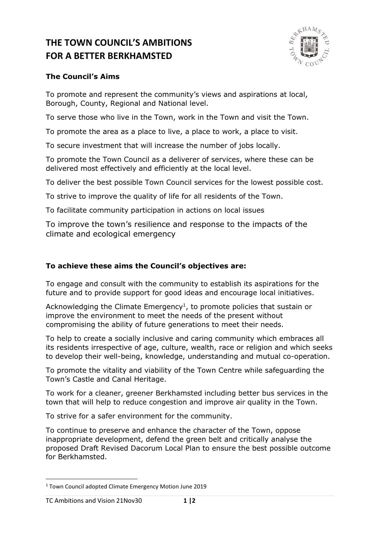# **THE TOWN COUNCIL'S AMBITIONS FOR A BETTER BERKHAMSTED**



## **The Council's Aims**

To promote and represent the community's views and aspirations at local, Borough, County, Regional and National level.

To serve those who live in the Town, work in the Town and visit the Town.

To promote the area as a place to live, a place to work, a place to visit.

To secure investment that will increase the number of jobs locally.

To promote the Town Council as a deliverer of services, where these can be delivered most effectively and efficiently at the local level.

To deliver the best possible Town Council services for the lowest possible cost.

To strive to improve the quality of life for all residents of the Town.

To facilitate community participation in actions on local issues

To improve the town's resilience and response to the impacts of the climate and ecological emergency

# **To achieve these aims the Council's objectives are:**

To engage and consult with the community to establish its aspirations for the future and to provide support for good ideas and encourage local initiatives.

Acknowledging the Climate Emergency<sup>1</sup>, to promote policies that sustain or improve the environment to meet the needs of the present without compromising the ability of future generations to meet their needs.

To help to create a socially inclusive and caring community which embraces all its residents irrespective of age, culture, wealth, race or religion and which seeks to develop their well-being, knowledge, understanding and mutual co-operation.

To promote the vitality and viability of the Town Centre while safeguarding the Town's Castle and Canal Heritage.

To work for a cleaner, greener Berkhamsted including better bus services in the town that will help to reduce congestion and improve air quality in the Town.

To strive for a safer environment for the community.

To continue to preserve and enhance the character of the Town, oppose inappropriate development, defend the green belt and critically analyse the proposed Draft Revised Dacorum Local Plan to ensure the best possible outcome for Berkhamsted.

<sup>1</sup> Town Council adopted Climate Emergency Motion June 2019

TC Ambitions and Vision 21Nov30 **1 |2**